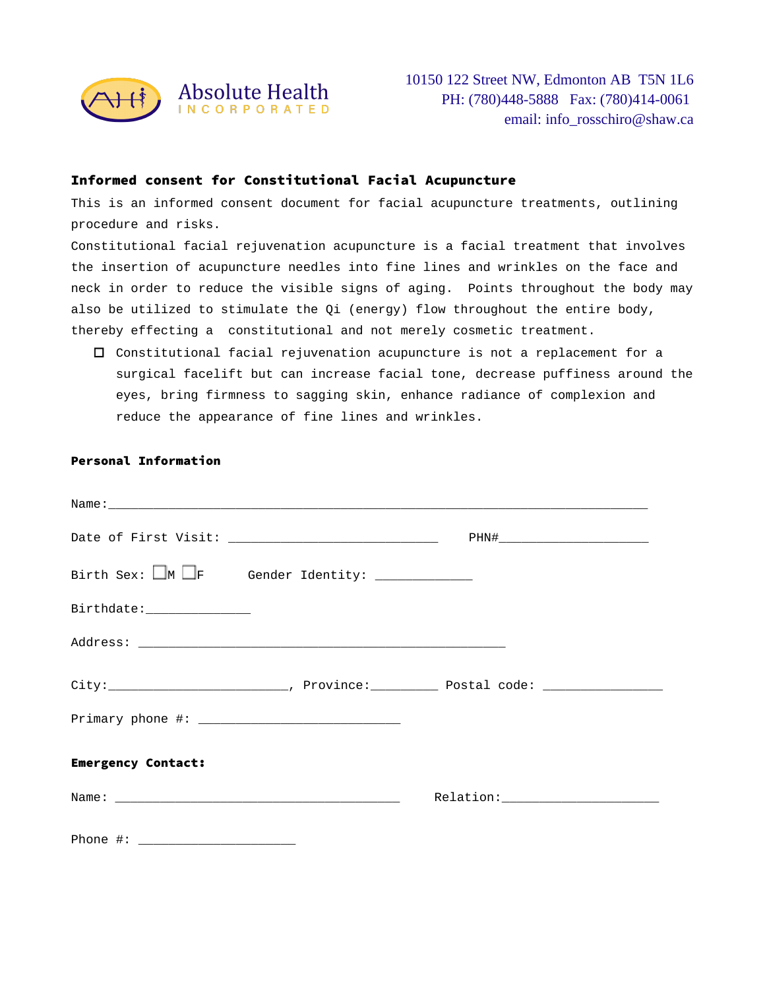

## Informed consent for Constitutional Facial Acupuncture

This is an informed consent document for facial acupuncture treatments, outlining procedure and risks.

Constitutional facial rejuvenation acupuncture is a facial treatment that involves the insertion of acupuncture needles into fine lines and wrinkles on the face and neck in order to reduce the visible signs of aging. Points throughout the body may also be utilized to stimulate the Qi (energy) flow throughout the entire body, thereby effecting a constitutional and not merely cosmetic treatment.

 $\Box$  Constitutional facial rejuvenation acupuncture is not a replacement for a surgical facelift but can increase facial tone, decrease puffiness around the eyes, bring firmness to sagging skin, enhance radiance of complexion and reduce the appearance of fine lines and wrinkles.

|                                                                                    | PHN#________________________________                                                                |  |
|------------------------------------------------------------------------------------|-----------------------------------------------------------------------------------------------------|--|
| Birth Sex: $\Box$ M $\Box$ F Gender Identity: $\_\_\_\_\_\_\_\_\_\_\_\_\_\_\_\_\_$ |                                                                                                     |  |
| Birthdate:_______________                                                          |                                                                                                     |  |
|                                                                                    |                                                                                                     |  |
|                                                                                    | City:_____________________________, Province:_____________ Postal code: ___________________________ |  |
|                                                                                    |                                                                                                     |  |
| <b>Emergency Contact:</b>                                                          |                                                                                                     |  |
|                                                                                    |                                                                                                     |  |
|                                                                                    |                                                                                                     |  |

## Personal Information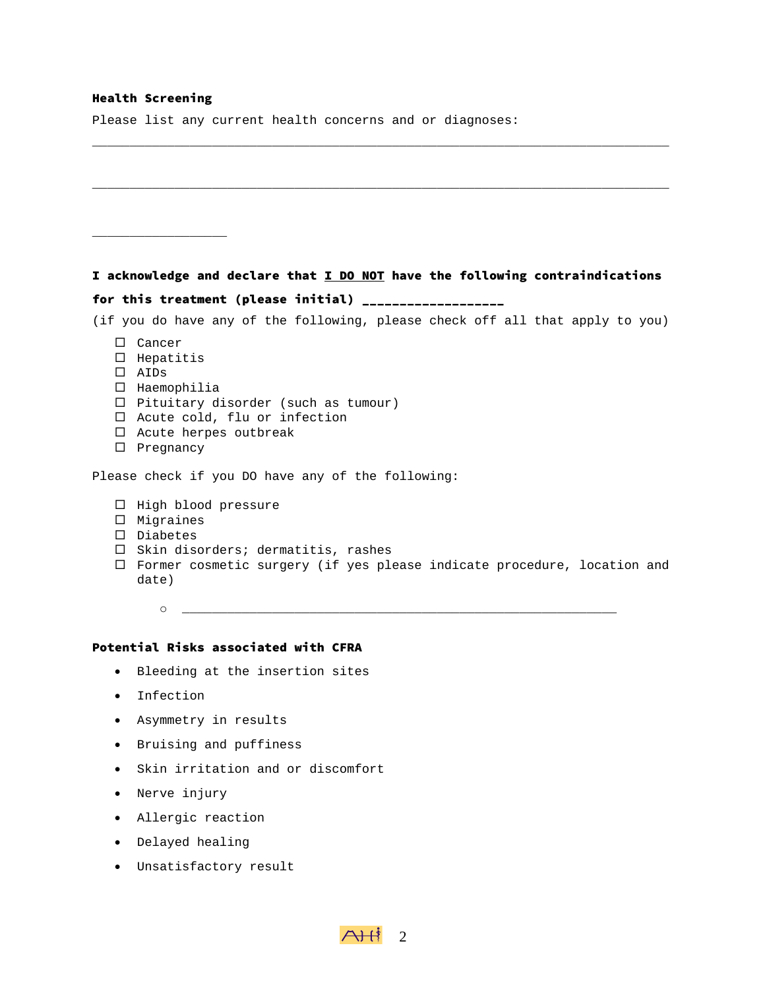### Health Screening

Please list any current health concerns and or diagnoses:

# I acknowledge and declare that I DO NOT have the following contraindications for this treatment (please initial) \_\_\_\_\_\_\_\_\_\_\_\_\_\_\_\_\_\_\_

\_\_\_\_\_\_\_\_\_\_\_\_\_\_\_\_\_\_\_\_\_\_\_\_\_\_\_\_\_\_\_\_\_\_\_\_\_\_\_\_\_\_\_\_\_\_\_\_\_\_\_\_\_\_\_\_\_\_\_\_\_\_\_\_\_\_\_\_\_\_\_\_\_\_\_\_\_

\_\_\_\_\_\_\_\_\_\_\_\_\_\_\_\_\_\_\_\_\_\_\_\_\_\_\_\_\_\_\_\_\_\_\_\_\_\_\_\_\_\_\_\_\_\_\_\_\_\_\_\_\_\_\_\_\_\_\_\_\_\_\_\_\_\_\_\_\_\_\_\_\_\_\_\_\_

- (if you do have any of the following, please check off all that apply to you)
	- □ Cancer
	- $\square$  Hepatitis

\_\_\_\_\_\_\_\_\_\_\_\_\_\_\_\_\_\_

- AIDs
- $\square$  Haemophilia
- $\Box$  Pituitary disorder (such as tumour)
- $\Box$  Acute cold, flu or infection
- $\Box$  Acute herpes outbreak
- $\square$  Pregnancy

Please check if you DO have any of the following:

- $\Box$  High blood pressure
- $\square$  Migraines
- Diabetes
- $\Box$  Skin disorders; dermatitis, rashes
- □ Former cosmetic surgery (if yes please indicate procedure, location and date)
	- o \_\_\_\_\_\_\_\_\_\_\_\_\_\_\_\_\_\_\_\_\_\_\_\_\_\_\_\_\_\_\_\_\_\_\_\_\_\_\_\_\_\_\_\_\_\_\_\_\_\_\_\_\_\_\_\_\_\_

### Potential Risks associated with CFRA

- Bleeding at the insertion sites
- Infection
- Asymmetry in results
- Bruising and puffiness
- Skin irritation and or discomfort
- Nerve injury
- Allergic reaction
- Delayed healing
- Unsatisfactory result

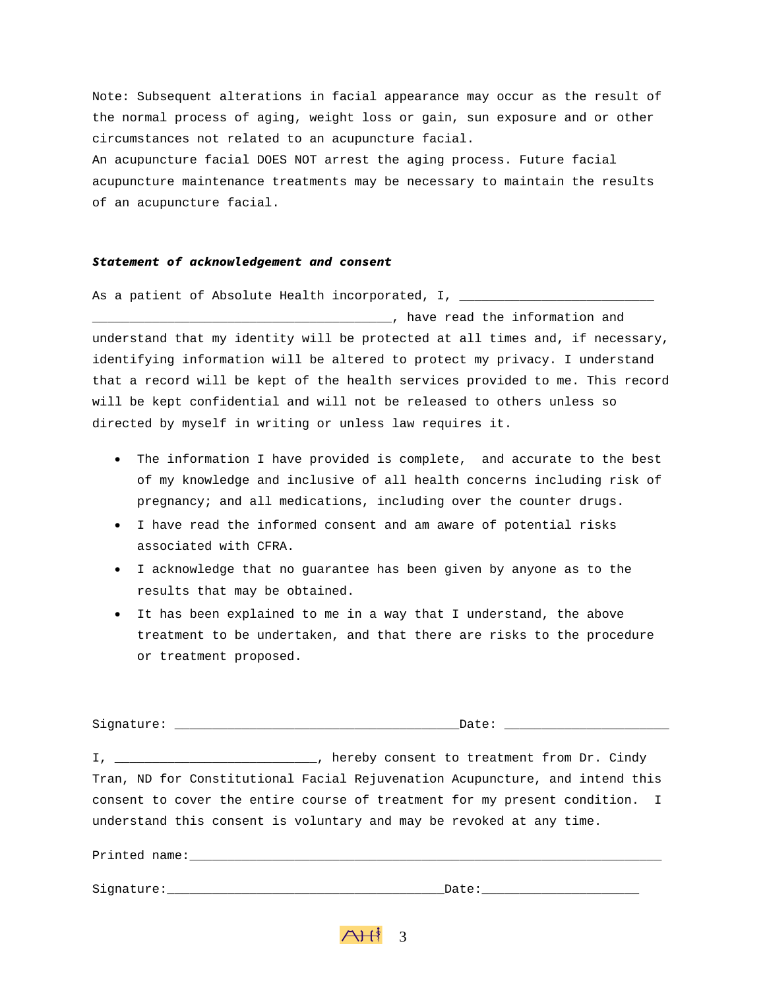Note: Subsequent alterations in facial appearance may occur as the result of the normal process of aging, weight loss or gain, sun exposure and or other circumstances not related to an acupuncture facial. An acupuncture facial DOES NOT arrest the aging process. Future facial acupuncture maintenance treatments may be necessary to maintain the results of an acupuncture facial.

#### *Statement of acknowledgement and consent*

As a patient of Absolute Health incorporated, I, \_\_\_\_\_\_\_\_\_\_\_\_

\_\_\_\_\_\_\_\_\_\_\_\_\_\_\_\_\_\_\_\_\_\_\_\_\_\_\_\_\_\_\_\_\_\_\_\_\_\_\_\_, have read the information and understand that my identity will be protected at all times and, if necessary, identifying information will be altered to protect my privacy. I understand that a record will be kept of the health services provided to me. This record will be kept confidential and will not be released to others unless so directed by myself in writing or unless law requires it.

- The information I have provided is complete, and accurate to the best of my knowledge and inclusive of all health concerns including risk of pregnancy; and all medications, including over the counter drugs.
- I have read the informed consent and am aware of potential risks associated with CFRA.
- I acknowledge that no guarantee has been given by anyone as to the results that may be obtained.
- It has been explained to me in a way that I understand, the above treatment to be undertaken, and that there are risks to the procedure or treatment proposed.

| I, _________________________________, hereby consent to treatment from Dr. Cindy |
|----------------------------------------------------------------------------------|
| Tran, ND for Constitutional Facial Rejuvenation Acupuncture, and intend this     |
| consent to cover the entire course of treatment for my present condition. I      |
| understand this consent is voluntary and may be revoked at any time.             |
|                                                                                  |
|                                                                                  |